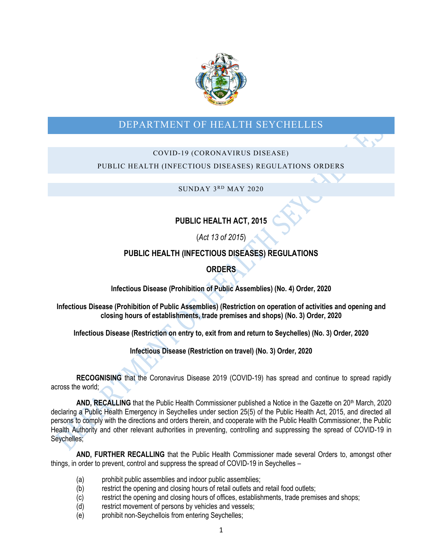

# DEPARTMENT OF HEALTH SEYCHELLES

# COVID-19 (CORONAVIRUS DISEASE)

# PUBLIC HEALTH (INFECTIOUS DISEASES) REGULATIONS ORDERS

 $SUNDAY 3<sup>RD</sup> MAY 2020$ 

# **PUBLIC HEALTH ACT, 2015**

(*Act 13 of 2015*)

# **PUBLIC HEALTH (INFECTIOUS DISEASES) REGULATIONS**

# **ORDERS**

**Infectious Disease (Prohibition of Public Assemblies) (No. 4) Order, 2020**

**Infectious Disease (Prohibition of Public Assemblies) (Restriction on operation of activities and opening and closing hours of establishments, trade premises and shops) (No. 3) Order, 2020**

**Infectious Disease (Restriction on entry to, exit from and return to Seychelles) (No. 3) Order, 2020**

**Infectious Disease (Restriction on travel) (No. 3) Order, 2020**

**RECOGNISING** that the Coronavirus Disease 2019 (COVID-19) has spread and continue to spread rapidly across the world;

**AND, RECALLING** that the Public Health Commissioner published a Notice in the Gazette on 20th March, 2020 declaring a Public Health Emergency in Seychelles under section 25(5) of the Public Health Act, 2015, and directed all persons to comply with the directions and orders therein, and cooperate with the Public Health Commissioner, the Public Health Authority and other relevant authorities in preventing, controlling and suppressing the spread of COVID-19 in Seychelles;

**AND, FURTHER RECALLING** that the Public Health Commissioner made several Orders to, amongst other things, in order to prevent, control and suppress the spread of COVID-19 in Seychelles –

- (a) prohibit public assemblies and indoor public assemblies;
- (b) restrict the opening and closing hours of retail outlets and retail food outlets;
- (c) restrict the opening and closing hours of offices, establishments, trade premises and shops;
- (d) restrict movement of persons by vehicles and vessels;
- (e) prohibit non-Seychellois from entering Seychelles;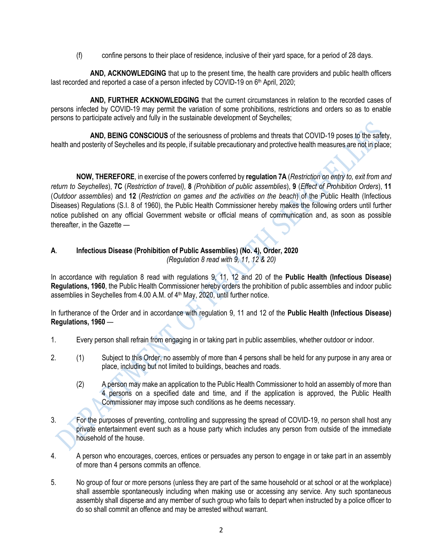(f) confine persons to their place of residence, inclusive of their yard space, for a period of 28 days.

**AND, ACKNOWLEDGING** that up to the present time, the health care providers and public health officers last recorded and reported a case of a person infected by COVID-19 on 6<sup>th</sup> April, 2020;

**AND, FURTHER ACKNOWLEDGING** that the current circumstances in relation to the recorded cases of persons infected by COVID-19 may permit the variation of some prohibitions, restrictions and orders so as to enable persons to participate actively and fully in the sustainable development of Seychelles;

**AND, BEING CONSCIOUS** of the seriousness of problems and threats that COVID-19 poses to the safety, health and posterity of Seychelles and its people, if suitable precautionary and protective health measures are not in place;

**NOW, THEREFORE**, in exercise of the powers conferred by **regulation 7A** (*Restriction on entry to, exit from and return to Seychelles*), **7C** (*Restriction of travel),* **8** *(Prohibition of public assemblies*), **9** (*Effect of Prohibition Orders*), **11** (*Outdoor assemblies*) and **12** (*Restriction on games and the activities on the beach*) of the Public Health (Infectious Diseases) Regulations (S.I. 8 of 1960), the Public Health Commissioner hereby makes the following orders until further notice published on any official Government website or official means of communication and, as soon as possible thereafter, in the Gazette —

# **A**. **Infectious Disease (Prohibition of Public Assemblies) (No. 4), Order, 2020**

*(Regulation 8 read with 9, 11, 12 & 20)*

In accordance with regulation 8 read with regulations 9, 11, 12 and 20 of the **Public Health (Infectious Disease) Regulations, 1960**, the Public Health Commissioner hereby orders the prohibition of public assemblies and indoor public assemblies in Seychelles from 4.00 A.M. of 4<sup>th</sup> May, 2020, until further notice.

In furtherance of the Order and in accordance with regulation 9, 11 and 12 of the **Public Health (Infectious Disease) Regulations, 1960** —

- 1. Every person shall refrain from engaging in or taking part in public assemblies, whether outdoor or indoor.
- 2. (1) Subject to this Order, no assembly of more than 4 persons shall be held for any purpose in any area or place, including but not limited to buildings, beaches and roads.
	- (2) A person may make an application to the Public Health Commissioner to hold an assembly of more than 4 persons on a specified date and time, and if the application is approved, the Public Health Commissioner may impose such conditions as he deems necessary.
- 3. For the purposes of preventing, controlling and suppressing the spread of COVID-19, no person shall host any private entertainment event such as a house party which includes any person from outside of the immediate household of the house.
- 4. A person who encourages, coerces, entices or persuades any person to engage in or take part in an assembly of more than 4 persons commits an offence.
- 5. No group of four or more persons (unless they are part of the same household or at school or at the workplace) shall assemble spontaneously including when making use or accessing any service. Any such spontaneous assembly shall disperse and any member of such group who fails to depart when instructed by a police officer to do so shall commit an offence and may be arrested without warrant.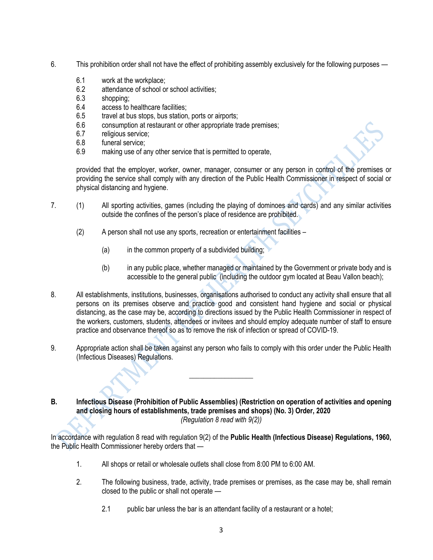- 6. This prohibition order shall not have the effect of prohibiting assembly exclusively for the following purposes
	- 6.1 work at the workplace;
	- 6.2 attendance of school or school activities;<br>6.3 shopping:
	- shopping:
	- 6.4 access to healthcare facilities;
	- 6.5 travel at bus stops, bus station, ports or airports;
	- 6.6 consumption at restaurant or other appropriate trade premises;
	- 6.7 religious service;
	- 6.8 funeral service;
	- 6.9 making use of any other service that is permitted to operate,

provided that the employer, worker, owner, manager, consumer or any person in control of the premises or providing the service shall comply with any direction of the Public Health Commissioner in respect of social or physical distancing and hygiene.

- 7. (1) All sporting activities, games (including the playing of dominoes and cards) and any similar activities outside the confines of the person's place of residence are prohibited.
	- (2) A person shall not use any sports, recreation or entertainment facilities
		- (a) in the common property of a subdivided building:
		- (b) in any public place, whether managed or maintained by the Government or private body and is accessible to the general public (including the outdoor gym located at Beau Vallon beach);
- 8. All establishments, institutions, businesses, organisations authorised to conduct any activity shall ensure that all persons on its premises observe and practice good and consistent hand hygiene and social or physical distancing, as the case may be, according to directions issued by the Public Health Commissioner in respect of the workers, customers, students, attendees or invitees and should employ adequate number of staff to ensure practice and observance thereof so as to remove the risk of infection or spread of COVID-19.
- 9. Appropriate action shall be taken against any person who fails to comply with this order under the Public Health (Infectious Diseases) Regulations.

\_\_\_\_\_\_\_\_\_\_\_\_\_\_\_\_\_\_

#### **B. Infectious Disease (Prohibition of Public Assemblies) (Restriction on operation of activities and opening and closing hours of establishments, trade premises and shops) (No. 3) Order, 2020** *(Regulation 8 read with 9(2))*

In accordance with regulation 8 read with regulation 9(2) of the **Public Health (Infectious Disease) Regulations, 1960,** the Public Health Commissioner hereby orders that —

- 1. All shops or retail or wholesale outlets shall close from 8:00 PM to 6:00 AM.
- 2. The following business, trade, activity, trade premises or premises, as the case may be, shall remain closed to the public or shall not operate —
	- 2.1 public bar unless the bar is an attendant facility of a restaurant or a hotel;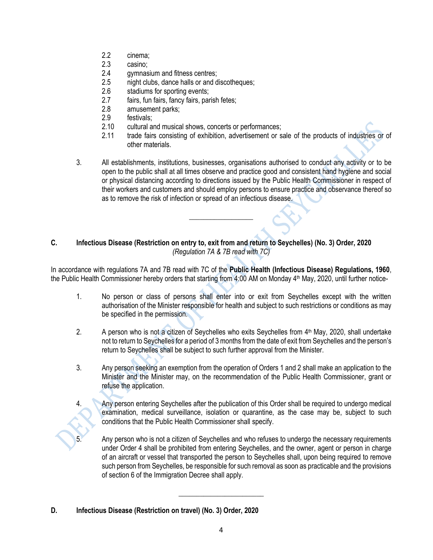- 2.2 cinema;
- 2.3 casino;
- 2.4 gymnasium and fitness centres;
- 2.5 night clubs, dance halls or and discotheques;
- 2.6 stadiums for sporting events;
- 2.7 fairs, fun fairs, fancy fairs, parish fetes;
- 2.8 amusement parks;
- 2.9 festivals;<br>2.10 cultural a
- cultural and musical shows, concerts or performances;
- 2.11 trade fairs consisting of exhibition, advertisement or sale of the products of industries or of other materials.
- 3. All establishments, institutions, businesses, organisations authorised to conduct any activity or to be open to the public shall at all times observe and practice good and consistent hand hygiene and social or physical distancing according to directions issued by the Public Health Commissioner in respect of their workers and customers and should employ persons to ensure practice and observance thereof so as to remove the risk of infection or spread of an infectious disease.

# **C. Infectious Disease (Restriction on entry to, exit from and return to Seychelles) (No. 3) Order, 2020** *(Regulation 7A & 7B read with 7C)*

In accordance with regulations 7A and 7B read with 7C of the **Public Health (Infectious Disease) Regulations, 1960**, the Public Health Commissioner hereby orders that starting from 4:00 AM on Monday 4th May, 2020, until further notice-

\_\_\_\_\_\_\_\_\_\_\_\_\_\_\_\_\_\_

- 1. No person or class of persons shall enter into or exit from Seychelles except with the written authorisation of the Minister responsible for health and subject to such restrictions or conditions as may be specified in the permission.
- 2. A person who is not a citizen of Seychelles who exits Seychelles from 4<sup>th</sup> May, 2020, shall undertake not to return to Seychelles for a period of 3 months from the date of exit from Seychelles and the person's return to Seychelles shall be subject to such further approval from the Minister.
- 3. Any person seeking an exemption from the operation of Orders 1 and 2 shall make an application to the Minister and the Minister may, on the recommendation of the Public Health Commissioner, grant or refuse the application.
	- 4. Any person entering Seychelles after the publication of this Order shall be required to undergo medical examination, medical surveillance, isolation or quarantine, as the case may be, subject to such conditions that the Public Health Commissioner shall specify.

Any person who is not a citizen of Seychelles and who refuses to undergo the necessary requirements under Order 4 shall be prohibited from entering Seychelles, and the owner, agent or person in charge of an aircraft or vessel that transported the person to Seychelles shall, upon being required to remove such person from Seychelles, be responsible for such removal as soon as practicable and the provisions of section 6 of the Immigration Decree shall apply.

\_\_\_\_\_\_\_\_\_\_\_\_\_\_\_\_\_\_\_\_\_\_\_\_

**D. Infectious Disease (Restriction on travel) (No. 3) Order, 2020**